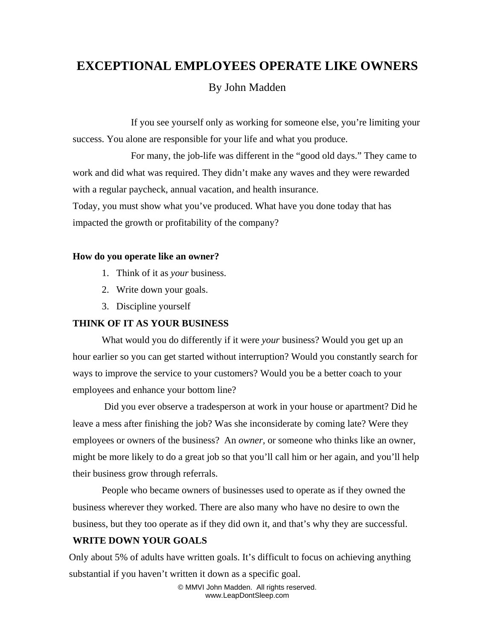# **EXCEPTIONAL EMPLOYEES OPERATE LIKE OWNERS**

## By John Madden

 If you see yourself only as working for someone else, you're limiting your success. You alone are responsible for your life and what you produce.

 For many, the job-life was different in the "good old days." They came to work and did what was required. They didn't make any waves and they were rewarded with a regular paycheck, annual vacation, and health insurance. Today, you must show what you've produced. What have you done today that has impacted the growth or profitability of the company?

#### **How do you operate like an owner?**

- 1. Think of it as *your* business.
- 2. Write down your goals.
- 3. Discipline yourself

#### **THINK OF IT AS YOUR BUSINESS**

What would you do differently if it were *your* business? Would you get up an hour earlier so you can get started without interruption? Would you constantly search for ways to improve the service to your customers? Would you be a better coach to your employees and enhance your bottom line?

 Did you ever observe a tradesperson at work in your house or apartment? Did he leave a mess after finishing the job? Was she inconsiderate by coming late? Were they employees or owners of the business? An *owner,* or someone who thinks like an owner, might be more likely to do a great job so that you'll call him or her again, and you'll help their business grow through referrals.

People who became owners of businesses used to operate as if they owned the business wherever they worked. There are also many who have no desire to own the business, but they too operate as if they did own it, and that's why they are successful.

#### **WRITE DOWN YOUR GOALS**

Only about 5% of adults have written goals. It's difficult to focus on achieving anything substantial if you haven't written it down as a specific goal.

> © MMVI John Madden. All rights reserved. www.LeapDontSleep.com